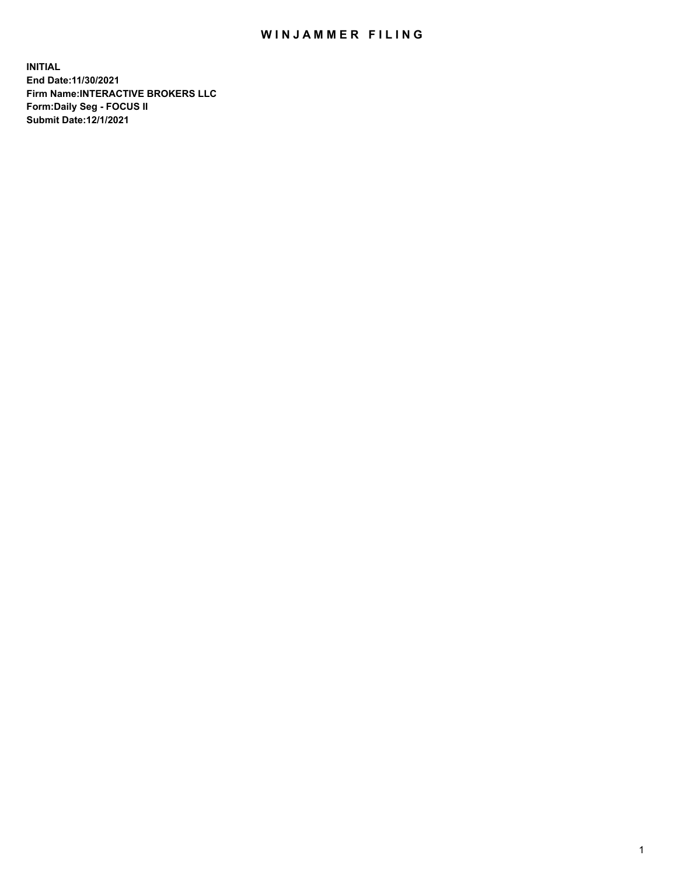## WIN JAMMER FILING

**INITIAL End Date:11/30/2021 Firm Name:INTERACTIVE BROKERS LLC Form:Daily Seg - FOCUS II Submit Date:12/1/2021**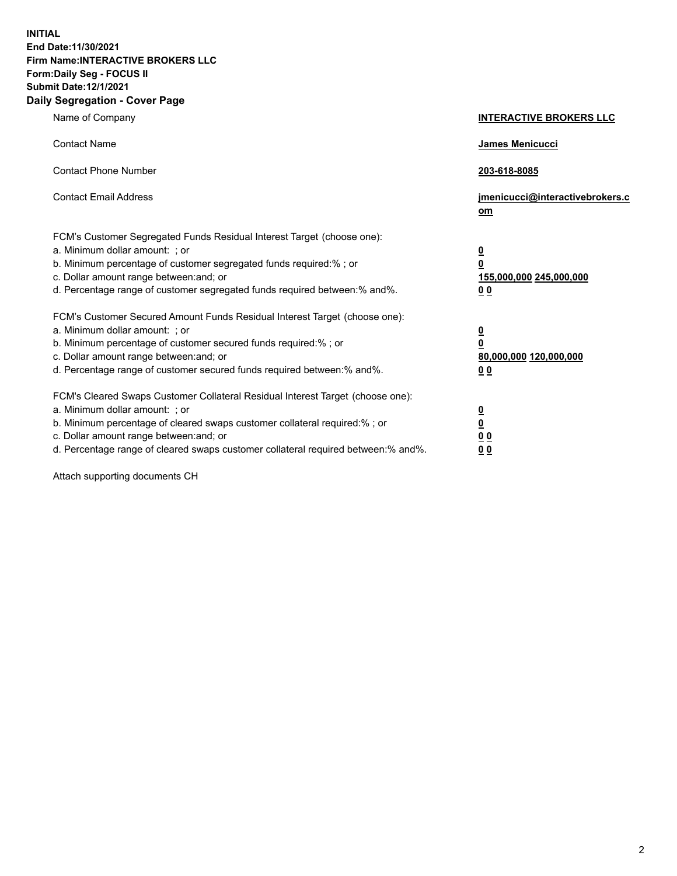**INITIAL End Date:11/30/2021 Firm Name:INTERACTIVE BROKERS LLC Form:Daily Seg - FOCUS II Submit Date:12/1/2021 Daily Segregation - Cover Page**

| Name of Company                                                                                                                                                                                                                                                                                                                | <b>INTERACTIVE BROKERS LLC</b>                                                  |
|--------------------------------------------------------------------------------------------------------------------------------------------------------------------------------------------------------------------------------------------------------------------------------------------------------------------------------|---------------------------------------------------------------------------------|
| <b>Contact Name</b>                                                                                                                                                                                                                                                                                                            | James Menicucci                                                                 |
| <b>Contact Phone Number</b>                                                                                                                                                                                                                                                                                                    | 203-618-8085                                                                    |
| <b>Contact Email Address</b>                                                                                                                                                                                                                                                                                                   | jmenicucci@interactivebrokers.c<br>om                                           |
| FCM's Customer Segregated Funds Residual Interest Target (choose one):<br>a. Minimum dollar amount: ; or<br>b. Minimum percentage of customer segregated funds required:%; or<br>c. Dollar amount range between: and; or<br>d. Percentage range of customer segregated funds required between:% and%.                          | <u>0</u><br>$\overline{\mathbf{0}}$<br>155,000,000 245,000,000<br><u>00</u>     |
| FCM's Customer Secured Amount Funds Residual Interest Target (choose one):<br>a. Minimum dollar amount: ; or<br>b. Minimum percentage of customer secured funds required:% ; or<br>c. Dollar amount range between: and; or<br>d. Percentage range of customer secured funds required between:% and%.                           | <u>0</u><br>$\overline{\mathbf{0}}$<br>80,000,000 120,000,000<br>0 <sub>0</sub> |
| FCM's Cleared Swaps Customer Collateral Residual Interest Target (choose one):<br>a. Minimum dollar amount: ; or<br>b. Minimum percentage of cleared swaps customer collateral required:% ; or<br>c. Dollar amount range between: and; or<br>d. Percentage range of cleared swaps customer collateral required between:% and%. | <u>0</u><br>$\underline{\mathbf{0}}$<br>0 <sub>0</sub><br>0 <sub>0</sub>        |

Attach supporting documents CH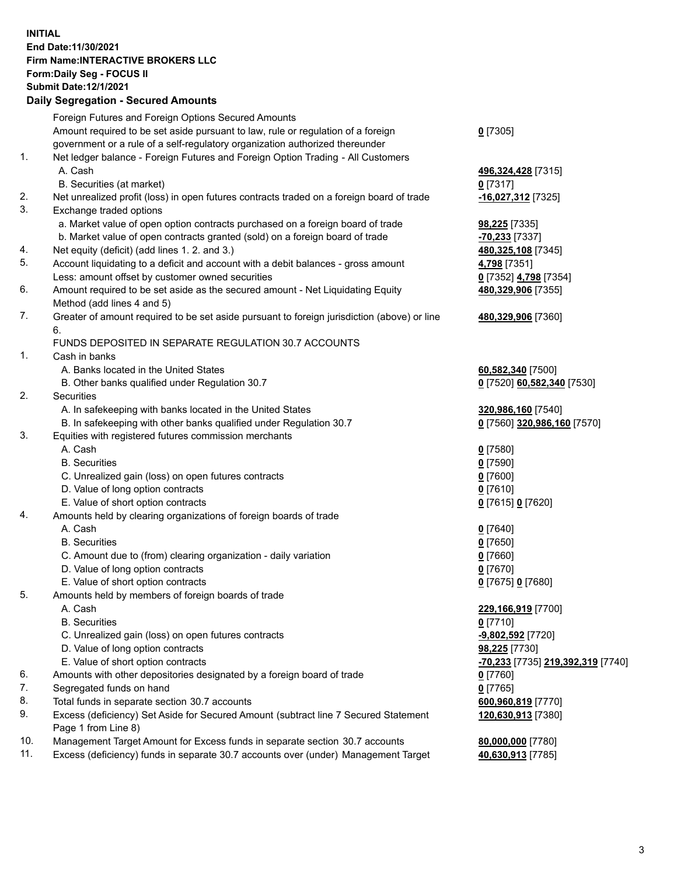## **INITIAL End Date:11/30/2021 Firm Name:INTERACTIVE BROKERS LLC Form:Daily Seg - FOCUS II Submit Date:12/1/2021 Daily Segregation - Secured Amounts**

|     | Daily Jegregation - Jeculed Aniounts                                                        |                                                |
|-----|---------------------------------------------------------------------------------------------|------------------------------------------------|
|     | Foreign Futures and Foreign Options Secured Amounts                                         |                                                |
|     | Amount required to be set aside pursuant to law, rule or regulation of a foreign            | $0$ [7305]                                     |
|     | government or a rule of a self-regulatory organization authorized thereunder                |                                                |
| 1.  | Net ledger balance - Foreign Futures and Foreign Option Trading - All Customers             |                                                |
|     | A. Cash                                                                                     | 496,324,428 [7315]                             |
|     | B. Securities (at market)                                                                   | $0$ [7317]                                     |
| 2.  | Net unrealized profit (loss) in open futures contracts traded on a foreign board of trade   | -16,027,312 [7325]                             |
| 3.  | Exchange traded options                                                                     |                                                |
|     | a. Market value of open option contracts purchased on a foreign board of trade              | <b>98,225</b> [7335]                           |
|     | b. Market value of open contracts granted (sold) on a foreign board of trade                | -70,233 [7337]                                 |
| 4.  | Net equity (deficit) (add lines 1. 2. and 3.)                                               | 480,325,108 [7345]                             |
| 5.  | Account liquidating to a deficit and account with a debit balances - gross amount           | 4,798 [7351]                                   |
|     | Less: amount offset by customer owned securities                                            | 0 [7352] 4,798 [7354]                          |
| 6.  | Amount required to be set aside as the secured amount - Net Liquidating Equity              | 480,329,906 [7355]                             |
|     | Method (add lines 4 and 5)                                                                  |                                                |
| 7.  | Greater of amount required to be set aside pursuant to foreign jurisdiction (above) or line | 480,329,906 [7360]                             |
|     | 6.                                                                                          |                                                |
|     | FUNDS DEPOSITED IN SEPARATE REGULATION 30.7 ACCOUNTS                                        |                                                |
| 1.  | Cash in banks                                                                               |                                                |
|     | A. Banks located in the United States                                                       | 60,582,340 [7500]                              |
|     | B. Other banks qualified under Regulation 30.7                                              | 0 [7520] 60,582,340 [7530]                     |
| 2.  | Securities                                                                                  |                                                |
|     | A. In safekeeping with banks located in the United States                                   | 320,986,160 [7540]                             |
|     | B. In safekeeping with other banks qualified under Regulation 30.7                          | 0 [7560] 320,986,160 [7570]                    |
| 3.  | Equities with registered futures commission merchants                                       |                                                |
|     | A. Cash                                                                                     | $0$ [7580]                                     |
|     | <b>B.</b> Securities                                                                        | $0$ [7590]                                     |
|     | C. Unrealized gain (loss) on open futures contracts                                         | $0$ [7600]                                     |
|     | D. Value of long option contracts                                                           | $Q$ [7610]                                     |
|     | E. Value of short option contracts                                                          | 0 [7615] 0 [7620]                              |
| 4.  | Amounts held by clearing organizations of foreign boards of trade                           |                                                |
|     | A. Cash                                                                                     | $0$ [7640]                                     |
|     | <b>B.</b> Securities                                                                        | $0$ [7650]                                     |
|     | C. Amount due to (from) clearing organization - daily variation                             | $0$ [7660]                                     |
|     | D. Value of long option contracts                                                           | $0$ [7670]                                     |
|     | E. Value of short option contracts                                                          | 0 [7675] 0 [7680]                              |
| 5.  | Amounts held by members of foreign boards of trade                                          |                                                |
|     | A. Cash                                                                                     | 229,166,919 [7700]                             |
|     | <b>B.</b> Securities                                                                        | $0$ [7710]                                     |
|     | C. Unrealized gain (loss) on open futures contracts                                         | -9,802,592 [7720]                              |
|     | D. Value of long option contracts                                                           | 98,225 [7730]                                  |
|     | E. Value of short option contracts                                                          | <mark>-70,233</mark> [7735] 219,392,319 [7740] |
| 6.  | Amounts with other depositories designated by a foreign board of trade                      | 0 [7760]                                       |
| 7.  | Segregated funds on hand                                                                    | 0 [7765]                                       |
| 8.  | Total funds in separate section 30.7 accounts                                               | 600,960,819 [7770]                             |
| 9.  | Excess (deficiency) Set Aside for Secured Amount (subtract line 7 Secured Statement         | 120,630,913 [7380]                             |
| 10. | Page 1 from Line 8)                                                                         |                                                |
| 11. | Management Target Amount for Excess funds in separate section 30.7 accounts                 | 80,000,000 [7780]                              |
|     | Excess (deficiency) funds in separate 30.7 accounts over (under) Management Target          | 40,630,913 [7785]                              |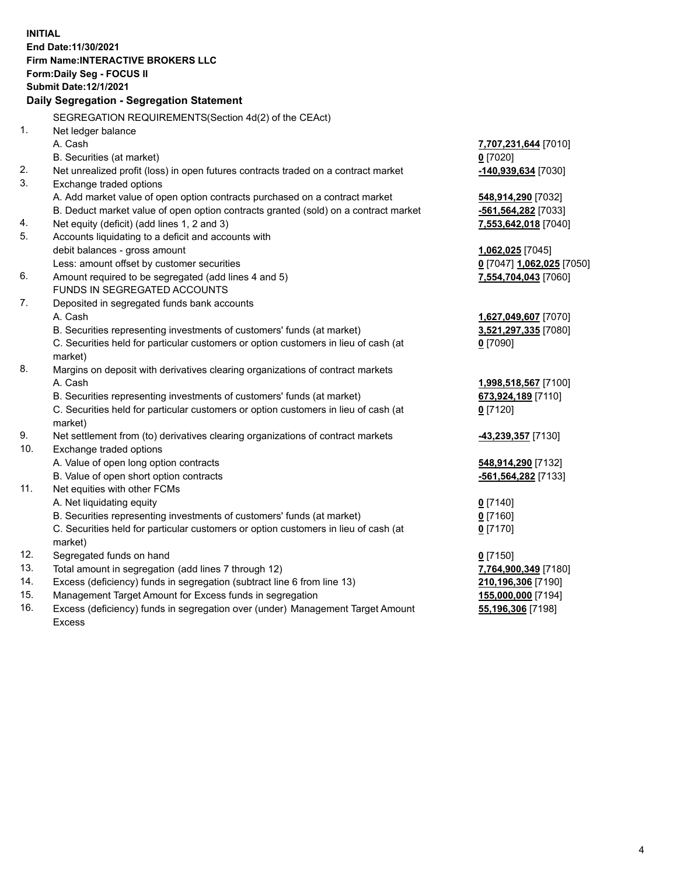**INITIAL End Date:11/30/2021 Firm Name:INTERACTIVE BROKERS LLC Form:Daily Seg - FOCUS II Submit Date:12/1/2021 Daily Segregation - Segregation Statement** SEGREGATION REQUIREMENTS(Section 4d(2) of the CEAct) 1. Net ledger balance A. Cash **7,707,231,644** [7010] B. Securities (at market) **0** [7020] 2. Net unrealized profit (loss) in open futures contracts traded on a contract market **-140,939,634** [7030] 3. Exchange traded options A. Add market value of open option contracts purchased on a contract market **548,914,290** [7032] B. Deduct market value of open option contracts granted (sold) on a contract market **-561,564,282** [7033] 4. Net equity (deficit) (add lines 1, 2 and 3) **7,553,642,018** [7040] 5. Accounts liquidating to a deficit and accounts with debit balances - gross amount **1,062,025** [7045] Less: amount offset by customer securities **0** [7047] **1,062,025** [7050] 6. Amount required to be segregated (add lines 4 and 5) **7,554,704,043** [7060] FUNDS IN SEGREGATED ACCOUNTS 7. Deposited in segregated funds bank accounts A. Cash **1,627,049,607** [7070] B. Securities representing investments of customers' funds (at market) **3,521,297,335** [7080] C. Securities held for particular customers or option customers in lieu of cash (at market) **0** [7090] 8. Margins on deposit with derivatives clearing organizations of contract markets A. Cash **1,998,518,567** [7100] B. Securities representing investments of customers' funds (at market) **673,924,189** [7110] C. Securities held for particular customers or option customers in lieu of cash (at market) **0** [7120] 9. Net settlement from (to) derivatives clearing organizations of contract markets **-43,239,357** [7130] 10. Exchange traded options A. Value of open long option contracts **548,914,290** [7132] B. Value of open short option contracts **-561,564,282** [7133] 11. Net equities with other FCMs A. Net liquidating equity **0** [7140] B. Securities representing investments of customers' funds (at market) **0** [7160] C. Securities held for particular customers or option customers in lieu of cash (at market) **0** [7170] 12. Segregated funds on hand **0** [7150] 13. Total amount in segregation (add lines 7 through 12) **7,764,900,349** [7180] 14. Excess (deficiency) funds in segregation (subtract line 6 from line 13) **210,196,306** [7190] 15. Management Target Amount for Excess funds in segregation **155,000,000** [7194] 16. Excess (deficiency) funds in segregation over (under) Management Target Amount **55,196,306** [7198]

Excess